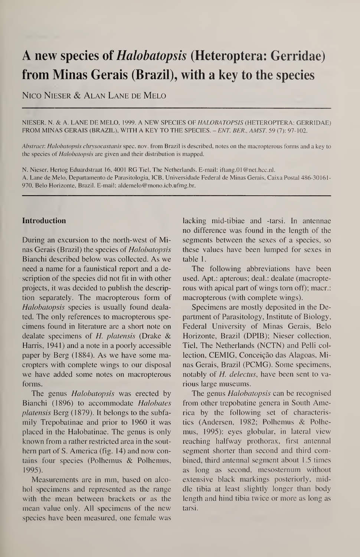# A new species of Halobatopsis (Heteroptera: Gerridae) from Minas Gerais (Brazil), with a key to the species

#### NIESER. N. & A. LANE DE MELO, 1999. A NEW SPECIES OF HALOBATOPSIS (HETEROPTERA: GERRIDAE) FROM MINAS GERAIS (BRAZIL), WITH A KEY TO THE SPECIES. - ENT. BER., AMST. 59 (7): 97-102.

Nico Nieser & Alan Lane de Melo

Abstract: Halobatopsis chrysocastanis spec. nov. from Brazil is described, notes on the macropterous forms and a key to the species of Halobatopsis are given and their distribution is mapped.

N. Nieser. Hertog Eduardstraat 16, 4001 RG Tiel, The Netherlands. E-mail: iftang.01@net.hcc.nl. A. Lane de Melo, Departamento de Parasitologia, ICB, Universidade Federal de Minas Gerais, Caixa Postal 486-30161- 970, Belo Horizonte, Brazil. E-mail: aldemelo@mono.icb.ufmg.br.

During an excursion to the north-west of Minas Gerais (Brazil) the species of Halobatopsis Bianchi described below was collected. As we need a name for a faunistical report and a description of the species did not fit in with other projects, it was decided to publish the description separately. The macropterous form of Halobatopsis species is usually found dealated. The only references to macropterous specimens found in literature are a short note on dealate specimens of H. platensis (Drake & Harris, 1941) and a note in a poorly accessible paper by Berg (1884). As we have some macropters with complete wings to our disposal we have added some notes on macropterous forms.

# Introduction

The genus *Halobatopsis* was erected by Bianchi (1896) to accommodate Halobates platensis Berg (1879). It belongs to the subfamily Trepobatinae and prior to 1960 it was placed in the Halobatinae. The genus is only known from a rather restricted area in the southern part of S. America (fig. 14) and now contains four species (Polhemus & Polhemus, 1995).

Measurements are in mm, based on alcohol specimens and represented as the range with the mean between brackets or as the mean value only. All specimens of the new species have been measured, one female was

Specimens are mostly deposited in the Department of Parasitology, Institute of Biology, Federal University of Minas Gerais, Belo Horizonte, Brazil (DPIB); Nieser collection, Tiel, The Netherlands (NCTN) and Pelli collection, CEMIG, Conceição das Alagoas, Minas Gerais, Brazil (PCMG). Some specimens, notably of H. delectus, have been sent to various large museums.

The genus *Halobatopsis* can be recognised from other trepobatine genera in South America by the following set of characteristics (Andersen, 1982; Polhemus & Polhemus, 1995): eyes globular, in lateral view reaching halfway prothorax, first antennal segment shorter than second and third com bined, third antennal segment about 1.5 times as long as second, mesosternum without extensive black markings posteriorly, middle tibia at least slightly longer than body length and hind tibia twice or more as long as tarsi.

lacking mid-tibiae and -tarsi. In antennae no difference was found in the length of the segments between the sexes of a species, so these values have been lumped for sexes in table 1.

The following abbreviations have been used. Apt.: apterous; deal.: dealate (macropterous with apical part of wings torn off); macr.: macropterous (with complete wings).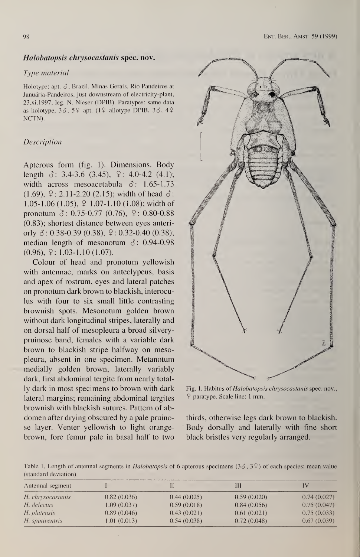#### Halobatopsis chrysocastanis spec. nov.

#### Type material

Holotype: apt.  $\delta$ , Brazil, Minas Gerais, Rio Pandeiros at Januária-Pandeiros, just downstream of electricity-plant, 23.xi.1997, leg. N. Nieser (DPIB). Paratypes: same data as holotype,  $3\delta$ ,  $5\frac{9}{10}$  apt. (19 allotype DPIB,  $3\delta$ , 49 NCTN).

Apterous form (fig. 1). Dimensions. Body length  $\delta$ : 3.4-3.6 (3.45),  $\varphi$ : 4.0-4.2 (4.1); width across mesoacetabula  $\delta$ : 1.65-1.73 (1.69),  $9: 2.11 - 2.20$  (2.15); width of head  $\delta$ : 1.05-1.06(1.05), 9 1.07-1.10 (1.08); width of pronotum  $\delta$ : 0.75-0.77 (0.76),  $\Omega$ : 0.80-0.88  $(0.83)$ ; shortest distance between eyes anteriorly  $\delta$ : 0.38-0.39 (0.38),  $\Omega$ : 0.32-0.40 (0.38); median length of mesonotum  $\delta$ : 0.94-0.98  $(0.96),$   $9: 1.03-1.10(1.07).$ 

#### Description

Table 1. Length of antennal segments in *Halobatopsis* of 6 apterous specimens  $(3\delta, 3\delta)$  of each species: mean value (standard deviation).

Colour of head and pronotum yellowish with antennae, marks on anteclypeus, basis and apex of rostrum, eyes and lateral patches on pronotum dark brown to blackish, interoculus with four to six small little contrasting brownish spots. Mesonotum golden brown without dark longitudinal stripes, laterally and on dorsal half of mesopleura a broad silverypruinose band, females with a variable dark brown to blackish stripe halfway on mesopleura, absent in one specimen. Metanotum medially golden brown, laterally variably dark, first abdominal tergite from nearly totally dark in most specimens to brown with dark lateral margins; remaining abdominal tergites brownish with blackish sutures. Pattern of abdomen after drying obscured by a pale pruinose layer. Venter yellowish to light orangebrown, fore femur pale in basal half to two



Fig. 1. Habitus of Halobatopsis chrysocastanis spec, nov., 9 paratype. Scale line: <sup>1</sup> mm.

thirds, otherwise legs dark brown to blackish. Body dorsally and laterally with fine short black bristles very regularly arranged.

| Antennal segment  |             | H           | Ш           | IV          |
|-------------------|-------------|-------------|-------------|-------------|
| H. chrysocastanis | 0.82(0.036) | 0.44(0.025) | 0.59(0.020) | 0.74(0.027) |
| H. delectus       | 1.09(0.037) | 0.59(0.018) | 0.84(0.056) | 0.75(0.047) |
| H. platensis      | 0.89(0.046) | 0.43(0.021) | 0.61(0.021) | 0.75(0.033) |
| H. spiniventris   | 1.01(0.013) | 0.54(0.038) | 0.72(0.048) | 0.67(0.039) |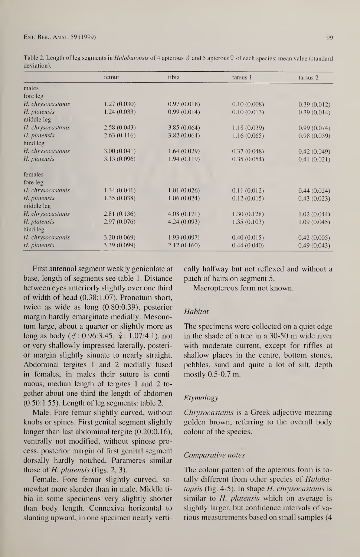Table 2. Length of leg segments in Halobatopsis of 4 apterous  $\delta$  and 5 apterous  $\delta$  of each species: mean value (standard deviation).

|                   | femur       | tibia       | tarsus 1    | tarsus 2    |
|-------------------|-------------|-------------|-------------|-------------|
| males             |             |             |             |             |
| fore leg          |             |             |             |             |
| H. chrysocastanis | 1.27(0.030) | 0.97(0.018) | 0.10(0.008) | 0.39(0.012) |
| H. platensis      | 1.24(0.033) | 0.99(0.014) | 0.10(0.013) | 0.39(0.014) |
| middle leg        |             |             |             |             |
| H. chrysocastanis | 2.58(0.043) | 3.85(0.064) | 1.18(0.039) | 0.99(0.074) |
| H. platensis      | 2.63(0.116) | 3.82(0.064) | 1.16(0.065) | 0.98(0.039) |
| hind leg          |             |             |             |             |
| H. chrysocastanis | 3.00(0.041) | 1.64(0.029) | 0.37(0.048) | 0.42(0.049) |
| H. platensis      | 3.13(0.096) | 1.94(0.119) | 0.35(0.054) | 0.41(0.021) |
| females           |             |             |             |             |
| fore leg          |             |             |             |             |
| H. chrysocastanis | 1.34(0.041) | 1.01(0.026) | 0.11(0.012) | 0.44(0.024) |
| H. platensis      | 1.35(0.038) | 1.06(0.024) | 0.12(0.015) | 0.43(0.023) |
| middle leg        |             |             |             |             |
| H. chrysocastanis | 2.81(0.136) | 4.08(0.171) | 1.30(0.128) | 1.02(0.044) |
| H. platensis      | 2.97(0.076) | 4.24(0.093) | 1.35(0.103) | 1.09(0.045) |
| hind leg          |             |             |             |             |
| H. chrysocastanis | 3.20(0.069) | 1.93(0.097) | 0.40(0.015) | 0.42(0.005) |
| H. platensis      | 3.39(0.099) | 2.12(0.160) | 0.44(0.040) | 0.49(0.043) |

First antennal segment weakly geniculate at base, length of segments see table 1. Distance between eyes anteriorly slightly over one third of width of head (0.38:1.07). Pronotum short, twice as wide as long (0.80:0.39), posterior margin hardly emarginate medially. Mesonotum large, about a quarter or slightly more as long as body ( $\delta$ : 0.96:3.45,  $\Omega$ : 1.07:4.1), not or very shallowly impressed laterally, posterior margin slightly sinuate to nearly straight. Abdominal tergites <sup>1</sup> and 2 medially fused in females, in males their suture is continuous, median length of tergites 1 and 2 together about one third the length of abdomen (0.50:1.55). Length of leg segments: table 2.

> The colour pattern of the apterous form is totally different from other species of Halobatopsis (fig. 4-5). In shape H. chrysocastanis is similar to  $H$ . platensis which on average is slightly larger, but confidence intervals of various measurements based on small samples (4

Male. Fore femur slightly curved, without knobs or spines. First genital segment slightly longer than last abdominal tergite (0.20:0.16), ventrally not modified, without spinose process, posterior margin of first genital segment dorsally hardly notched. Parameres similar those of H. platensis (figs. 2, 3).

cally halfway but not reflexed and without a patch of hairs on segment 5.

Macropterous form not known.

# **Habitat**

The specimens were collected on a quiet edge in the shade of a tree in a 30-50 m wide river with moderate current, except for riffles at shallow places in the centre, bottom stones, pebbles, sand and quite a lot of silt, depth mostly 0.5-0.7 m.

# Etymology

Chrysocastanis is a Greek adjective meaning golden brown, referring to the overall body colour of the species.

Female. Fore femur slightly curved, somewhat more slender than in male. Middle tibia in some specimens very slightly shorter than body length. Connexiva horizontal to slanting upward, in one specimen nearly verti-

#### Comparative notes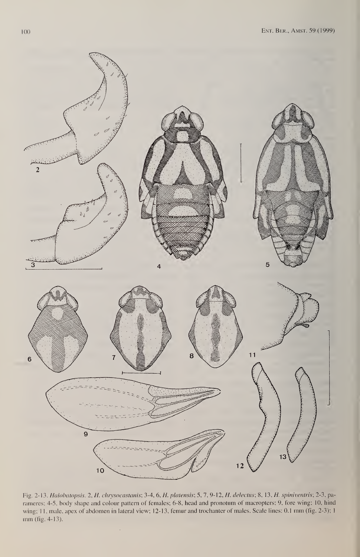

Fig. 2-13. Halobatopsis. 2, H. chrysocastanis; 3-4, 6, H. platensis; 5, 7, 9-12, H. delectus; 8, 13, H. spiniventris; 2-3, parameres; 4-5, body shape and colour pattern of females; 6-8, head and pronotum of macropters; 9, fore wing; 10, hind wing; 11, male, apex of abdomen in lateral view; 12-13, femur and trochanter of males. Scale lines: 0.1 mm (fig. 2-3); <sup>1</sup> mm (fig. 4-13).

 $\ddot{\phantom{a}}$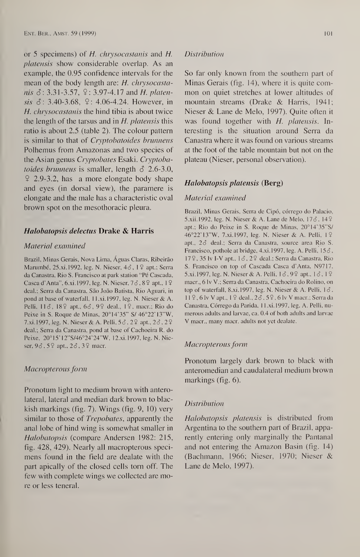or 5 specimens) of H. chrysocastanis and H. platensis show considerable overlap. As an example, the 0.95 confidence intervals for the mean of the body length are:  $H.$  chrysocastanis  $\delta$ : 3.31-3.57,  $\Omega$ : 3.97-4.17 and H. platensis  $\delta$ : 3.40-3.68,  $\circ$ : 4.06-4.24. However, in H. chrysocastanis the hind tibia is about twice the length of the tarsus and in  $H$ . *platensis* this ratio is about 2.5 (table 2). The colour pattern is similar to that of *Cryptobatoides brunneus* Polhemus from Amazonas and two species of the Asian genus Cryptobates Esaki. Cryptobatoides brunneus is smaller, length  $\delta$  2.6-3.0, 9 2.9-3.2, has a more elongate body shape and eyes (in dorsal view), the paramere is elongate and the male has a characteristic oval brown spot on the mesothoracic pleura.

Brazil, Minas Gerais, Nova Lima, Aguas Claras, Ribeiräo Marumbé, 25.xi.1992, leg. N. Nieser, 43,19 apt.; Serra da Canastra, Rio S. Francisco at park station "Pé Cascada, Casca d'Anta", 6.xi. 1997, leg. N. Nieser, 73, 89 apt., 19 deal.; Serra da Canastra, Säo Joäo Batista, Rio Aguari, in pond at base of waterfall, 11.xi.1997, leg. N. Nieser & A. Pelli, 113, 189 apt., 63, 99 deal., 19, macr.; Rio do Peixe in S. Roque de Minas, 20°14'35" S/ 46°22'13"W, 7.xi.1997, leg. N. Nieser & A. Pelli,  $5\delta$ ,  $2\frac{9}{4}$  apt.,  $2\delta$ ,  $2\frac{9}{4}$ deal.; Serra da Canastra, pond at base of Cachoeira R. do Peixe, 20°15'12"S/46°24'24"W, 12.xi.1997, leg. N. Nieser,  $9\delta$ ,  $5\delta$  apt.,  $2\delta$ ,  $3\delta$  macr.

### Macropterous form

# Halobatopsis delectus Drake & Harris

#### Material examined

Pronotum light to medium brown with anterolateral, lateral and median dark brown to blackish markings (fig. 7). Wings (fig. 9, 10) very similar to those of *Trepobates*, apparently the anal lobe of hind wing is somewhat smaller in Halobatopsis (compare Andersen 1982: 215, fig. 428, 429). Nearly all macropterous specimens found in the field are dealate with the part apically of the closed cells torn off. The few with complete wings we collected are more or less teneral.

#### **Distribution**

So far only known from the southern part of Minas Gerais (fig. 14), where it is quite com mon on quiet stretches at lower altitudes of mountain streams (Drake & Harris, 1941; Nieser & Lane de Melo, 1997). Quite often it was found together with  $H$ . platensis. Interesting is the situation around Serra da Canastra where it was found on various streams at the foot of the table mountain but not on the plateau (Nieser, personal observation).

#### Halobatopsis platensis (Berg)

#### Material examined

Brazil, Minas Gerais, Serra de Cipó, córrego do Palacio, 5.xii.1992, leg. N. Nieser & A. Lane de Melo,  $17\delta$ ,  $14\delta$ apt.; Rio do Peixe in S. Roque de Minas, 20° 14'35"S/ 46°22'13"W, 7.xi. 1997, leg. N. Nieser & A. Pelli, 19 apt., 23 deal.; Serra da Canastra, source area Rio S. Francisco, pothole at bridge, 4.xi. 1997, leg. A. Pelli,  $15\delta$ ,  $17$   $9$ ,  $35$  lv I-V apt.,  $1\delta$ ,  $2\delta$  deal.; Serra da Canastra, Rio S. Francisco on top of Cascada Casca d'Anta, N9717, 5.xi.1997, leg. N. Nieser & A. Pelli,  $1\delta$ ,  $9\frac{9}{9}$  apt.,  $1\delta$ ,  $1\frac{9}{9}$ macr., 6 lv V.; Serra da Canastra, Cachoeira do Rolino, on top of waterfall, 8.xi.1997, leg. N. Nieser & A. Pelli,  $1\delta$ . <sup>11</sup> 9,6 lv <sup>V</sup> apt., <sup>1</sup> 9 deal., <sup>2</sup> 3,5 9,6 lv <sup>V</sup> macr.; Serra da Canastra, Córrego da Parida, 11.xi. 1997, leg. A. Pelli, numerous adults and larvae, ca. 0.4 of both adults and larvae V macr., many macr. adults not yet dealate.

#### Macropterous form

Pronotum largely dark brown to black with anteromedian and caudalateral medium brown markings (fig. 6).

### **Distribution**

Halobatopsis platensis is distributed from Argentina to the southern part of Brazil, apparently entering only marginally the Pantanal and not entering the Amazon Basin (fig. 14) (Bachmann, 1966; Nieser, 1970; Nieser & Lane de Melo, 1997).